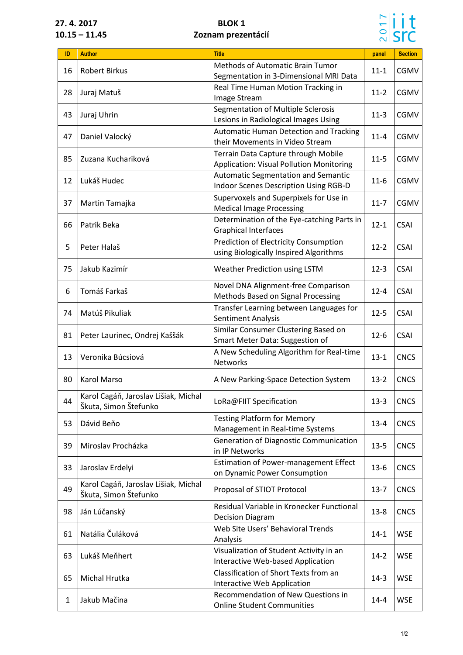## **27. 4. 2017 BLOK 1 10.15 – 11.45 Zoznam prezentácií**



| <b>Methods of Automatic Brain Tumor</b><br><b>Robert Birkus</b><br><b>CGMV</b><br>16<br>$11 - 1$<br>Segmentation in 3-Dimensional MRI Data<br>Real Time Human Motion Tracking in<br>28<br>CGMV<br>Juraj Matuš<br>$11-2$<br>Image Stream<br>Segmentation of Multiple Sclerosis<br>CGMV<br>43<br>Juraj Uhrin<br>$11-3$<br>Lesions in Radiological Images Using<br><b>Automatic Human Detection and Tracking</b><br>Daniel Valocký<br>CGMV<br>47<br>$11 - 4$<br>their Movements in Video Stream<br>Terrain Data Capture through Mobile<br>85<br>Zuzana Kuchariková<br>$11-5$<br>CGMV<br><b>Application: Visual Pollution Monitoring</b><br>Automatic Segmentation and Semantic<br>Lukáš Hudec<br><b>CGMV</b><br>12<br>$11-6$<br><b>Indoor Scenes Description Using RGB-D</b><br>Supervoxels and Superpixels for Use in<br>37<br>CGMV<br>Martin Tamajka<br>$11 - 7$<br><b>Medical Image Processing</b><br>Determination of the Eye-catching Parts in<br>66<br>Patrik Beka<br><b>CSAI</b><br>$12 - 1$<br><b>Graphical Interfaces</b><br><b>Prediction of Electricity Consumption</b><br>5<br>$12 - 2$<br><b>CSAI</b><br>Peter Halaš<br>using Biologically Inspired Algorithms<br>75<br>Jakub Kazimír<br><b>Weather Prediction using LSTM</b><br><b>CSAI</b><br>$12-3$<br>Novel DNA Alignment-free Comparison<br>Tomáš Farkaš<br><b>CSAI</b><br>6<br>$12 - 4$<br>Methods Based on Signal Processing<br>Transfer Learning between Languages for<br>74<br>Matúš Pikuliak<br>$12 - 5$<br><b>CSAI</b><br>Sentiment Analysis<br>Similar Consumer Clustering Based on<br>81<br>$12-6$<br><b>CSAI</b><br>Peter Laurinec, Ondrej Kaššák<br>Smart Meter Data: Suggestion of<br>A New Scheduling Algorithm for Real-time<br>Veronika Búcsiová<br>$13 - 1$<br><b>CNCS</b><br>13<br><b>Networks</b><br><b>Karol Marso</b><br>80<br>A New Parking-Space Detection System<br>$13 - 2$<br><b>CNCS</b><br>Karol Cagáň, Jaroslav Lišiak, Michal<br>44<br>LoRa@FIIT Specification<br><b>CNCS</b><br>$13-3$<br>Škuta, Simon Štefunko<br><b>Testing Platform for Memory</b><br>Dávid Beňo<br>53<br><b>CNCS</b><br>$13 - 4$<br>Management in Real-time Systems<br>Generation of Diagnostic Communication<br>39<br>Miroslav Procházka<br>$13 - 5$<br><b>CNCS</b><br>in IP Networks<br><b>Estimation of Power-management Effect</b><br>33<br>Jaroslav Erdelyi<br>$13-6$<br><b>CNCS</b><br>on Dynamic Power Consumption<br>Karol Cagáň, Jaroslav Lišiak, Michal<br>49<br>Proposal of STIOT Protocol<br>$13 - 7$<br><b>CNCS</b><br>Škuta, Simon Štefunko<br>Residual Variable in Kronecker Functional<br>98<br>Ján Lúčanský<br>$13 - 8$<br><b>CNCS</b><br><b>Decision Diagram</b><br>Web Site Users' Behavioral Trends<br>Natália Čuláková<br>61<br>$14-1$<br><b>WSE</b><br>Analysis<br>Visualization of Student Activity in an<br>63<br>Lukáš Meňhert<br>$14 - 2$<br><b>WSE</b><br>Interactive Web-based Application<br>Classification of Short Texts from an<br>Michal Hrutka<br><b>WSE</b><br>65<br>$14-3$<br>Interactive Web Application<br>Recommendation of New Questions in<br>Jakub Mačina<br><b>WSE</b><br>$14 - 4$<br>1 |     |               |                                   |       |                |
|----------------------------------------------------------------------------------------------------------------------------------------------------------------------------------------------------------------------------------------------------------------------------------------------------------------------------------------------------------------------------------------------------------------------------------------------------------------------------------------------------------------------------------------------------------------------------------------------------------------------------------------------------------------------------------------------------------------------------------------------------------------------------------------------------------------------------------------------------------------------------------------------------------------------------------------------------------------------------------------------------------------------------------------------------------------------------------------------------------------------------------------------------------------------------------------------------------------------------------------------------------------------------------------------------------------------------------------------------------------------------------------------------------------------------------------------------------------------------------------------------------------------------------------------------------------------------------------------------------------------------------------------------------------------------------------------------------------------------------------------------------------------------------------------------------------------------------------------------------------------------------------------------------------------------------------------------------------------------------------------------------------------------------------------------------------------------------------------------------------------------------------------------------------------------------------------------------------------------------------------------------------------------------------------------------------------------------------------------------------------------------------------------------------------------------------------------------------------------------------------------------------------------------------------------------------------------------------------------------------------------------------------------------------------------------------------------------------------------------------------------------------------------------------------------------------------------------------------------------------------------------------------------------------------------------------------------------------------------------------------------------------------------------------------------------------------------------------------------|-----|---------------|-----------------------------------|-------|----------------|
|                                                                                                                                                                                                                                                                                                                                                                                                                                                                                                                                                                                                                                                                                                                                                                                                                                                                                                                                                                                                                                                                                                                                                                                                                                                                                                                                                                                                                                                                                                                                                                                                                                                                                                                                                                                                                                                                                                                                                                                                                                                                                                                                                                                                                                                                                                                                                                                                                                                                                                                                                                                                                                                                                                                                                                                                                                                                                                                                                                                                                                                                                                    | ID. | <b>Author</b> | <b>Title</b>                      | panel | <b>Section</b> |
|                                                                                                                                                                                                                                                                                                                                                                                                                                                                                                                                                                                                                                                                                                                                                                                                                                                                                                                                                                                                                                                                                                                                                                                                                                                                                                                                                                                                                                                                                                                                                                                                                                                                                                                                                                                                                                                                                                                                                                                                                                                                                                                                                                                                                                                                                                                                                                                                                                                                                                                                                                                                                                                                                                                                                                                                                                                                                                                                                                                                                                                                                                    |     |               |                                   |       |                |
|                                                                                                                                                                                                                                                                                                                                                                                                                                                                                                                                                                                                                                                                                                                                                                                                                                                                                                                                                                                                                                                                                                                                                                                                                                                                                                                                                                                                                                                                                                                                                                                                                                                                                                                                                                                                                                                                                                                                                                                                                                                                                                                                                                                                                                                                                                                                                                                                                                                                                                                                                                                                                                                                                                                                                                                                                                                                                                                                                                                                                                                                                                    |     |               |                                   |       |                |
|                                                                                                                                                                                                                                                                                                                                                                                                                                                                                                                                                                                                                                                                                                                                                                                                                                                                                                                                                                                                                                                                                                                                                                                                                                                                                                                                                                                                                                                                                                                                                                                                                                                                                                                                                                                                                                                                                                                                                                                                                                                                                                                                                                                                                                                                                                                                                                                                                                                                                                                                                                                                                                                                                                                                                                                                                                                                                                                                                                                                                                                                                                    |     |               |                                   |       |                |
|                                                                                                                                                                                                                                                                                                                                                                                                                                                                                                                                                                                                                                                                                                                                                                                                                                                                                                                                                                                                                                                                                                                                                                                                                                                                                                                                                                                                                                                                                                                                                                                                                                                                                                                                                                                                                                                                                                                                                                                                                                                                                                                                                                                                                                                                                                                                                                                                                                                                                                                                                                                                                                                                                                                                                                                                                                                                                                                                                                                                                                                                                                    |     |               |                                   |       |                |
|                                                                                                                                                                                                                                                                                                                                                                                                                                                                                                                                                                                                                                                                                                                                                                                                                                                                                                                                                                                                                                                                                                                                                                                                                                                                                                                                                                                                                                                                                                                                                                                                                                                                                                                                                                                                                                                                                                                                                                                                                                                                                                                                                                                                                                                                                                                                                                                                                                                                                                                                                                                                                                                                                                                                                                                                                                                                                                                                                                                                                                                                                                    |     |               |                                   |       |                |
|                                                                                                                                                                                                                                                                                                                                                                                                                                                                                                                                                                                                                                                                                                                                                                                                                                                                                                                                                                                                                                                                                                                                                                                                                                                                                                                                                                                                                                                                                                                                                                                                                                                                                                                                                                                                                                                                                                                                                                                                                                                                                                                                                                                                                                                                                                                                                                                                                                                                                                                                                                                                                                                                                                                                                                                                                                                                                                                                                                                                                                                                                                    |     |               |                                   |       |                |
|                                                                                                                                                                                                                                                                                                                                                                                                                                                                                                                                                                                                                                                                                                                                                                                                                                                                                                                                                                                                                                                                                                                                                                                                                                                                                                                                                                                                                                                                                                                                                                                                                                                                                                                                                                                                                                                                                                                                                                                                                                                                                                                                                                                                                                                                                                                                                                                                                                                                                                                                                                                                                                                                                                                                                                                                                                                                                                                                                                                                                                                                                                    |     |               |                                   |       |                |
|                                                                                                                                                                                                                                                                                                                                                                                                                                                                                                                                                                                                                                                                                                                                                                                                                                                                                                                                                                                                                                                                                                                                                                                                                                                                                                                                                                                                                                                                                                                                                                                                                                                                                                                                                                                                                                                                                                                                                                                                                                                                                                                                                                                                                                                                                                                                                                                                                                                                                                                                                                                                                                                                                                                                                                                                                                                                                                                                                                                                                                                                                                    |     |               |                                   |       |                |
|                                                                                                                                                                                                                                                                                                                                                                                                                                                                                                                                                                                                                                                                                                                                                                                                                                                                                                                                                                                                                                                                                                                                                                                                                                                                                                                                                                                                                                                                                                                                                                                                                                                                                                                                                                                                                                                                                                                                                                                                                                                                                                                                                                                                                                                                                                                                                                                                                                                                                                                                                                                                                                                                                                                                                                                                                                                                                                                                                                                                                                                                                                    |     |               |                                   |       |                |
|                                                                                                                                                                                                                                                                                                                                                                                                                                                                                                                                                                                                                                                                                                                                                                                                                                                                                                                                                                                                                                                                                                                                                                                                                                                                                                                                                                                                                                                                                                                                                                                                                                                                                                                                                                                                                                                                                                                                                                                                                                                                                                                                                                                                                                                                                                                                                                                                                                                                                                                                                                                                                                                                                                                                                                                                                                                                                                                                                                                                                                                                                                    |     |               |                                   |       |                |
|                                                                                                                                                                                                                                                                                                                                                                                                                                                                                                                                                                                                                                                                                                                                                                                                                                                                                                                                                                                                                                                                                                                                                                                                                                                                                                                                                                                                                                                                                                                                                                                                                                                                                                                                                                                                                                                                                                                                                                                                                                                                                                                                                                                                                                                                                                                                                                                                                                                                                                                                                                                                                                                                                                                                                                                                                                                                                                                                                                                                                                                                                                    |     |               |                                   |       |                |
|                                                                                                                                                                                                                                                                                                                                                                                                                                                                                                                                                                                                                                                                                                                                                                                                                                                                                                                                                                                                                                                                                                                                                                                                                                                                                                                                                                                                                                                                                                                                                                                                                                                                                                                                                                                                                                                                                                                                                                                                                                                                                                                                                                                                                                                                                                                                                                                                                                                                                                                                                                                                                                                                                                                                                                                                                                                                                                                                                                                                                                                                                                    |     |               |                                   |       |                |
|                                                                                                                                                                                                                                                                                                                                                                                                                                                                                                                                                                                                                                                                                                                                                                                                                                                                                                                                                                                                                                                                                                                                                                                                                                                                                                                                                                                                                                                                                                                                                                                                                                                                                                                                                                                                                                                                                                                                                                                                                                                                                                                                                                                                                                                                                                                                                                                                                                                                                                                                                                                                                                                                                                                                                                                                                                                                                                                                                                                                                                                                                                    |     |               |                                   |       |                |
|                                                                                                                                                                                                                                                                                                                                                                                                                                                                                                                                                                                                                                                                                                                                                                                                                                                                                                                                                                                                                                                                                                                                                                                                                                                                                                                                                                                                                                                                                                                                                                                                                                                                                                                                                                                                                                                                                                                                                                                                                                                                                                                                                                                                                                                                                                                                                                                                                                                                                                                                                                                                                                                                                                                                                                                                                                                                                                                                                                                                                                                                                                    |     |               |                                   |       |                |
|                                                                                                                                                                                                                                                                                                                                                                                                                                                                                                                                                                                                                                                                                                                                                                                                                                                                                                                                                                                                                                                                                                                                                                                                                                                                                                                                                                                                                                                                                                                                                                                                                                                                                                                                                                                                                                                                                                                                                                                                                                                                                                                                                                                                                                                                                                                                                                                                                                                                                                                                                                                                                                                                                                                                                                                                                                                                                                                                                                                                                                                                                                    |     |               |                                   |       |                |
|                                                                                                                                                                                                                                                                                                                                                                                                                                                                                                                                                                                                                                                                                                                                                                                                                                                                                                                                                                                                                                                                                                                                                                                                                                                                                                                                                                                                                                                                                                                                                                                                                                                                                                                                                                                                                                                                                                                                                                                                                                                                                                                                                                                                                                                                                                                                                                                                                                                                                                                                                                                                                                                                                                                                                                                                                                                                                                                                                                                                                                                                                                    |     |               |                                   |       |                |
|                                                                                                                                                                                                                                                                                                                                                                                                                                                                                                                                                                                                                                                                                                                                                                                                                                                                                                                                                                                                                                                                                                                                                                                                                                                                                                                                                                                                                                                                                                                                                                                                                                                                                                                                                                                                                                                                                                                                                                                                                                                                                                                                                                                                                                                                                                                                                                                                                                                                                                                                                                                                                                                                                                                                                                                                                                                                                                                                                                                                                                                                                                    |     |               |                                   |       |                |
|                                                                                                                                                                                                                                                                                                                                                                                                                                                                                                                                                                                                                                                                                                                                                                                                                                                                                                                                                                                                                                                                                                                                                                                                                                                                                                                                                                                                                                                                                                                                                                                                                                                                                                                                                                                                                                                                                                                                                                                                                                                                                                                                                                                                                                                                                                                                                                                                                                                                                                                                                                                                                                                                                                                                                                                                                                                                                                                                                                                                                                                                                                    |     |               |                                   |       |                |
|                                                                                                                                                                                                                                                                                                                                                                                                                                                                                                                                                                                                                                                                                                                                                                                                                                                                                                                                                                                                                                                                                                                                                                                                                                                                                                                                                                                                                                                                                                                                                                                                                                                                                                                                                                                                                                                                                                                                                                                                                                                                                                                                                                                                                                                                                                                                                                                                                                                                                                                                                                                                                                                                                                                                                                                                                                                                                                                                                                                                                                                                                                    |     |               |                                   |       |                |
|                                                                                                                                                                                                                                                                                                                                                                                                                                                                                                                                                                                                                                                                                                                                                                                                                                                                                                                                                                                                                                                                                                                                                                                                                                                                                                                                                                                                                                                                                                                                                                                                                                                                                                                                                                                                                                                                                                                                                                                                                                                                                                                                                                                                                                                                                                                                                                                                                                                                                                                                                                                                                                                                                                                                                                                                                                                                                                                                                                                                                                                                                                    |     |               |                                   |       |                |
|                                                                                                                                                                                                                                                                                                                                                                                                                                                                                                                                                                                                                                                                                                                                                                                                                                                                                                                                                                                                                                                                                                                                                                                                                                                                                                                                                                                                                                                                                                                                                                                                                                                                                                                                                                                                                                                                                                                                                                                                                                                                                                                                                                                                                                                                                                                                                                                                                                                                                                                                                                                                                                                                                                                                                                                                                                                                                                                                                                                                                                                                                                    |     |               |                                   |       |                |
|                                                                                                                                                                                                                                                                                                                                                                                                                                                                                                                                                                                                                                                                                                                                                                                                                                                                                                                                                                                                                                                                                                                                                                                                                                                                                                                                                                                                                                                                                                                                                                                                                                                                                                                                                                                                                                                                                                                                                                                                                                                                                                                                                                                                                                                                                                                                                                                                                                                                                                                                                                                                                                                                                                                                                                                                                                                                                                                                                                                                                                                                                                    |     |               |                                   |       |                |
|                                                                                                                                                                                                                                                                                                                                                                                                                                                                                                                                                                                                                                                                                                                                                                                                                                                                                                                                                                                                                                                                                                                                                                                                                                                                                                                                                                                                                                                                                                                                                                                                                                                                                                                                                                                                                                                                                                                                                                                                                                                                                                                                                                                                                                                                                                                                                                                                                                                                                                                                                                                                                                                                                                                                                                                                                                                                                                                                                                                                                                                                                                    |     |               |                                   |       |                |
|                                                                                                                                                                                                                                                                                                                                                                                                                                                                                                                                                                                                                                                                                                                                                                                                                                                                                                                                                                                                                                                                                                                                                                                                                                                                                                                                                                                                                                                                                                                                                                                                                                                                                                                                                                                                                                                                                                                                                                                                                                                                                                                                                                                                                                                                                                                                                                                                                                                                                                                                                                                                                                                                                                                                                                                                                                                                                                                                                                                                                                                                                                    |     |               |                                   |       |                |
|                                                                                                                                                                                                                                                                                                                                                                                                                                                                                                                                                                                                                                                                                                                                                                                                                                                                                                                                                                                                                                                                                                                                                                                                                                                                                                                                                                                                                                                                                                                                                                                                                                                                                                                                                                                                                                                                                                                                                                                                                                                                                                                                                                                                                                                                                                                                                                                                                                                                                                                                                                                                                                                                                                                                                                                                                                                                                                                                                                                                                                                                                                    |     |               |                                   |       |                |
|                                                                                                                                                                                                                                                                                                                                                                                                                                                                                                                                                                                                                                                                                                                                                                                                                                                                                                                                                                                                                                                                                                                                                                                                                                                                                                                                                                                                                                                                                                                                                                                                                                                                                                                                                                                                                                                                                                                                                                                                                                                                                                                                                                                                                                                                                                                                                                                                                                                                                                                                                                                                                                                                                                                                                                                                                                                                                                                                                                                                                                                                                                    |     |               |                                   |       |                |
|                                                                                                                                                                                                                                                                                                                                                                                                                                                                                                                                                                                                                                                                                                                                                                                                                                                                                                                                                                                                                                                                                                                                                                                                                                                                                                                                                                                                                                                                                                                                                                                                                                                                                                                                                                                                                                                                                                                                                                                                                                                                                                                                                                                                                                                                                                                                                                                                                                                                                                                                                                                                                                                                                                                                                                                                                                                                                                                                                                                                                                                                                                    |     |               |                                   |       |                |
|                                                                                                                                                                                                                                                                                                                                                                                                                                                                                                                                                                                                                                                                                                                                                                                                                                                                                                                                                                                                                                                                                                                                                                                                                                                                                                                                                                                                                                                                                                                                                                                                                                                                                                                                                                                                                                                                                                                                                                                                                                                                                                                                                                                                                                                                                                                                                                                                                                                                                                                                                                                                                                                                                                                                                                                                                                                                                                                                                                                                                                                                                                    |     |               |                                   |       |                |
|                                                                                                                                                                                                                                                                                                                                                                                                                                                                                                                                                                                                                                                                                                                                                                                                                                                                                                                                                                                                                                                                                                                                                                                                                                                                                                                                                                                                                                                                                                                                                                                                                                                                                                                                                                                                                                                                                                                                                                                                                                                                                                                                                                                                                                                                                                                                                                                                                                                                                                                                                                                                                                                                                                                                                                                                                                                                                                                                                                                                                                                                                                    |     |               |                                   |       |                |
|                                                                                                                                                                                                                                                                                                                                                                                                                                                                                                                                                                                                                                                                                                                                                                                                                                                                                                                                                                                                                                                                                                                                                                                                                                                                                                                                                                                                                                                                                                                                                                                                                                                                                                                                                                                                                                                                                                                                                                                                                                                                                                                                                                                                                                                                                                                                                                                                                                                                                                                                                                                                                                                                                                                                                                                                                                                                                                                                                                                                                                                                                                    |     |               |                                   |       |                |
|                                                                                                                                                                                                                                                                                                                                                                                                                                                                                                                                                                                                                                                                                                                                                                                                                                                                                                                                                                                                                                                                                                                                                                                                                                                                                                                                                                                                                                                                                                                                                                                                                                                                                                                                                                                                                                                                                                                                                                                                                                                                                                                                                                                                                                                                                                                                                                                                                                                                                                                                                                                                                                                                                                                                                                                                                                                                                                                                                                                                                                                                                                    |     |               |                                   |       |                |
|                                                                                                                                                                                                                                                                                                                                                                                                                                                                                                                                                                                                                                                                                                                                                                                                                                                                                                                                                                                                                                                                                                                                                                                                                                                                                                                                                                                                                                                                                                                                                                                                                                                                                                                                                                                                                                                                                                                                                                                                                                                                                                                                                                                                                                                                                                                                                                                                                                                                                                                                                                                                                                                                                                                                                                                                                                                                                                                                                                                                                                                                                                    |     |               |                                   |       |                |
|                                                                                                                                                                                                                                                                                                                                                                                                                                                                                                                                                                                                                                                                                                                                                                                                                                                                                                                                                                                                                                                                                                                                                                                                                                                                                                                                                                                                                                                                                                                                                                                                                                                                                                                                                                                                                                                                                                                                                                                                                                                                                                                                                                                                                                                                                                                                                                                                                                                                                                                                                                                                                                                                                                                                                                                                                                                                                                                                                                                                                                                                                                    |     |               |                                   |       |                |
|                                                                                                                                                                                                                                                                                                                                                                                                                                                                                                                                                                                                                                                                                                                                                                                                                                                                                                                                                                                                                                                                                                                                                                                                                                                                                                                                                                                                                                                                                                                                                                                                                                                                                                                                                                                                                                                                                                                                                                                                                                                                                                                                                                                                                                                                                                                                                                                                                                                                                                                                                                                                                                                                                                                                                                                                                                                                                                                                                                                                                                                                                                    |     |               |                                   |       |                |
|                                                                                                                                                                                                                                                                                                                                                                                                                                                                                                                                                                                                                                                                                                                                                                                                                                                                                                                                                                                                                                                                                                                                                                                                                                                                                                                                                                                                                                                                                                                                                                                                                                                                                                                                                                                                                                                                                                                                                                                                                                                                                                                                                                                                                                                                                                                                                                                                                                                                                                                                                                                                                                                                                                                                                                                                                                                                                                                                                                                                                                                                                                    |     |               |                                   |       |                |
|                                                                                                                                                                                                                                                                                                                                                                                                                                                                                                                                                                                                                                                                                                                                                                                                                                                                                                                                                                                                                                                                                                                                                                                                                                                                                                                                                                                                                                                                                                                                                                                                                                                                                                                                                                                                                                                                                                                                                                                                                                                                                                                                                                                                                                                                                                                                                                                                                                                                                                                                                                                                                                                                                                                                                                                                                                                                                                                                                                                                                                                                                                    |     |               |                                   |       |                |
|                                                                                                                                                                                                                                                                                                                                                                                                                                                                                                                                                                                                                                                                                                                                                                                                                                                                                                                                                                                                                                                                                                                                                                                                                                                                                                                                                                                                                                                                                                                                                                                                                                                                                                                                                                                                                                                                                                                                                                                                                                                                                                                                                                                                                                                                                                                                                                                                                                                                                                                                                                                                                                                                                                                                                                                                                                                                                                                                                                                                                                                                                                    |     |               |                                   |       |                |
|                                                                                                                                                                                                                                                                                                                                                                                                                                                                                                                                                                                                                                                                                                                                                                                                                                                                                                                                                                                                                                                                                                                                                                                                                                                                                                                                                                                                                                                                                                                                                                                                                                                                                                                                                                                                                                                                                                                                                                                                                                                                                                                                                                                                                                                                                                                                                                                                                                                                                                                                                                                                                                                                                                                                                                                                                                                                                                                                                                                                                                                                                                    |     |               |                                   |       |                |
|                                                                                                                                                                                                                                                                                                                                                                                                                                                                                                                                                                                                                                                                                                                                                                                                                                                                                                                                                                                                                                                                                                                                                                                                                                                                                                                                                                                                                                                                                                                                                                                                                                                                                                                                                                                                                                                                                                                                                                                                                                                                                                                                                                                                                                                                                                                                                                                                                                                                                                                                                                                                                                                                                                                                                                                                                                                                                                                                                                                                                                                                                                    |     |               |                                   |       |                |
|                                                                                                                                                                                                                                                                                                                                                                                                                                                                                                                                                                                                                                                                                                                                                                                                                                                                                                                                                                                                                                                                                                                                                                                                                                                                                                                                                                                                                                                                                                                                                                                                                                                                                                                                                                                                                                                                                                                                                                                                                                                                                                                                                                                                                                                                                                                                                                                                                                                                                                                                                                                                                                                                                                                                                                                                                                                                                                                                                                                                                                                                                                    |     |               |                                   |       |                |
|                                                                                                                                                                                                                                                                                                                                                                                                                                                                                                                                                                                                                                                                                                                                                                                                                                                                                                                                                                                                                                                                                                                                                                                                                                                                                                                                                                                                                                                                                                                                                                                                                                                                                                                                                                                                                                                                                                                                                                                                                                                                                                                                                                                                                                                                                                                                                                                                                                                                                                                                                                                                                                                                                                                                                                                                                                                                                                                                                                                                                                                                                                    |     |               |                                   |       |                |
|                                                                                                                                                                                                                                                                                                                                                                                                                                                                                                                                                                                                                                                                                                                                                                                                                                                                                                                                                                                                                                                                                                                                                                                                                                                                                                                                                                                                                                                                                                                                                                                                                                                                                                                                                                                                                                                                                                                                                                                                                                                                                                                                                                                                                                                                                                                                                                                                                                                                                                                                                                                                                                                                                                                                                                                                                                                                                                                                                                                                                                                                                                    |     |               |                                   |       |                |
|                                                                                                                                                                                                                                                                                                                                                                                                                                                                                                                                                                                                                                                                                                                                                                                                                                                                                                                                                                                                                                                                                                                                                                                                                                                                                                                                                                                                                                                                                                                                                                                                                                                                                                                                                                                                                                                                                                                                                                                                                                                                                                                                                                                                                                                                                                                                                                                                                                                                                                                                                                                                                                                                                                                                                                                                                                                                                                                                                                                                                                                                                                    |     |               |                                   |       |                |
|                                                                                                                                                                                                                                                                                                                                                                                                                                                                                                                                                                                                                                                                                                                                                                                                                                                                                                                                                                                                                                                                                                                                                                                                                                                                                                                                                                                                                                                                                                                                                                                                                                                                                                                                                                                                                                                                                                                                                                                                                                                                                                                                                                                                                                                                                                                                                                                                                                                                                                                                                                                                                                                                                                                                                                                                                                                                                                                                                                                                                                                                                                    |     |               |                                   |       |                |
|                                                                                                                                                                                                                                                                                                                                                                                                                                                                                                                                                                                                                                                                                                                                                                                                                                                                                                                                                                                                                                                                                                                                                                                                                                                                                                                                                                                                                                                                                                                                                                                                                                                                                                                                                                                                                                                                                                                                                                                                                                                                                                                                                                                                                                                                                                                                                                                                                                                                                                                                                                                                                                                                                                                                                                                                                                                                                                                                                                                                                                                                                                    |     |               |                                   |       |                |
|                                                                                                                                                                                                                                                                                                                                                                                                                                                                                                                                                                                                                                                                                                                                                                                                                                                                                                                                                                                                                                                                                                                                                                                                                                                                                                                                                                                                                                                                                                                                                                                                                                                                                                                                                                                                                                                                                                                                                                                                                                                                                                                                                                                                                                                                                                                                                                                                                                                                                                                                                                                                                                                                                                                                                                                                                                                                                                                                                                                                                                                                                                    |     |               |                                   |       |                |
|                                                                                                                                                                                                                                                                                                                                                                                                                                                                                                                                                                                                                                                                                                                                                                                                                                                                                                                                                                                                                                                                                                                                                                                                                                                                                                                                                                                                                                                                                                                                                                                                                                                                                                                                                                                                                                                                                                                                                                                                                                                                                                                                                                                                                                                                                                                                                                                                                                                                                                                                                                                                                                                                                                                                                                                                                                                                                                                                                                                                                                                                                                    |     |               |                                   |       |                |
|                                                                                                                                                                                                                                                                                                                                                                                                                                                                                                                                                                                                                                                                                                                                                                                                                                                                                                                                                                                                                                                                                                                                                                                                                                                                                                                                                                                                                                                                                                                                                                                                                                                                                                                                                                                                                                                                                                                                                                                                                                                                                                                                                                                                                                                                                                                                                                                                                                                                                                                                                                                                                                                                                                                                                                                                                                                                                                                                                                                                                                                                                                    |     |               | <b>Online Student Communities</b> |       |                |